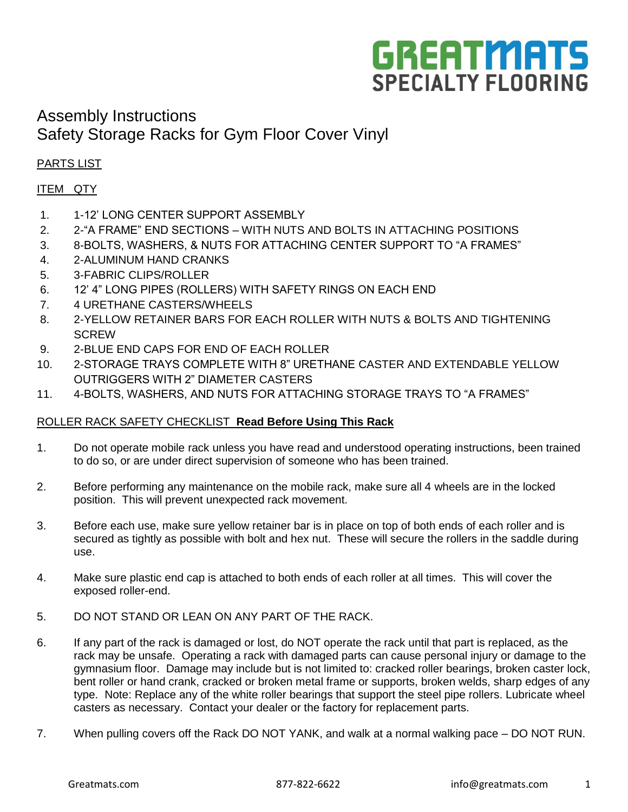# **GREATMATS SPECIALTY FLOORING**

# Assembly Instructions Safety Storage Racks for Gym Floor Cover Vinyl

# PARTS LIST

## ITEM QTY

- 1. 1-12' LONG CENTER SUPPORT ASSEMBLY
- 2. 2-"A FRAME" END SECTIONS WITH NUTS AND BOLTS IN ATTACHING POSITIONS
- 3. 8-BOLTS, WASHERS, & NUTS FOR ATTACHING CENTER SUPPORT TO "A FRAMES"
- 4. 2-ALUMINUM HAND CRANKS
- 5. 3-FABRIC CLIPS/ROLLER
- 6. 12' 4" LONG PIPES (ROLLERS) WITH SAFETY RINGS ON EACH END
- 7. 4 URETHANE CASTERS/WHEELS
- 8. 2-YELLOW RETAINER BARS FOR EACH ROLLER WITH NUTS & BOLTS AND TIGHTENING **SCREW**
- 9. 2-BLUE END CAPS FOR END OF EACH ROLLER
- 10. 2-STORAGE TRAYS COMPLETE WITH 8" URETHANE CASTER AND EXTENDABLE YELLOW OUTRIGGERS WITH 2" DIAMETER CASTERS
- 11. 4-BOLTS, WASHERS, AND NUTS FOR ATTACHING STORAGE TRAYS TO "A FRAMES"

### ROLLER RACK SAFETY CHECKLIST **Read Before Using This Rack**

- 1. Do not operate mobile rack unless you have read and understood operating instructions, been trained to do so, or are under direct supervision of someone who has been trained.
- 2. Before performing any maintenance on the mobile rack, make sure all 4 wheels are in the locked position. This will prevent unexpected rack movement.
- 3. Before each use, make sure yellow retainer bar is in place on top of both ends of each roller and is secured as tightly as possible with bolt and hex nut. These will secure the rollers in the saddle during use.
- 4. Make sure plastic end cap is attached to both ends of each roller at all times. This will cover the exposed roller-end.
- 5. DO NOT STAND OR LEAN ON ANY PART OF THE RACK.
- 6. If any part of the rack is damaged or lost, do NOT operate the rack until that part is replaced, as the rack may be unsafe. Operating a rack with damaged parts can cause personal injury or damage to the gymnasium floor. Damage may include but is not limited to: cracked roller bearings, broken caster lock, bent roller or hand crank, cracked or broken metal frame or supports, broken welds, sharp edges of any type. Note: Replace any of the white roller bearings that support the steel pipe rollers. Lubricate wheel casters as necessary. Contact your dealer or the factory for replacement parts.
- 7. When pulling covers off the Rack DO NOT YANK, and walk at a normal walking pace DO NOT RUN.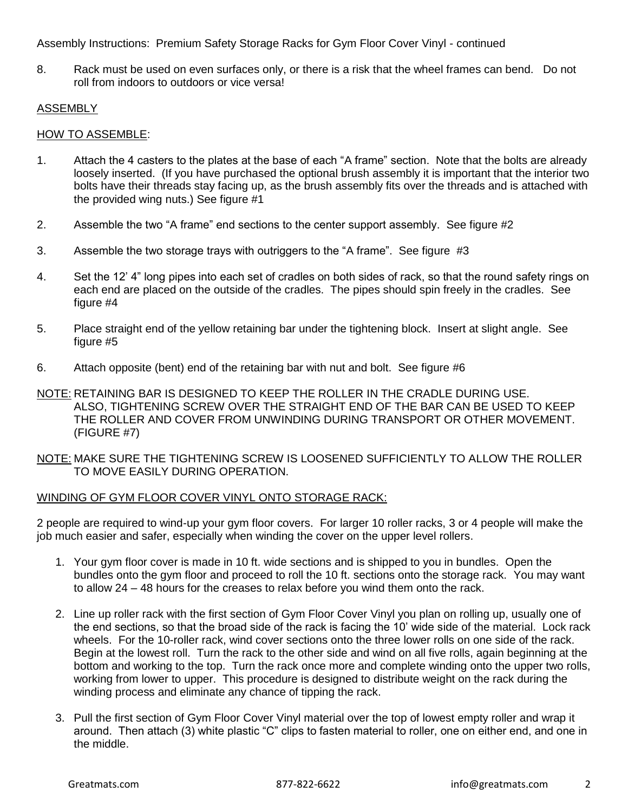Assembly Instructions: Premium Safety Storage Racks for Gym Floor Cover Vinyl - continued

8. Rack must be used on even surfaces only, or there is a risk that the wheel frames can bend. Do not roll from indoors to outdoors or vice versa!

#### ASSEMBLY

#### HOW TO ASSEMBLE:

- 1. Attach the 4 casters to the plates at the base of each "A frame" section. Note that the bolts are already loosely inserted. (If you have purchased the optional brush assembly it is important that the interior two bolts have their threads stay facing up, as the brush assembly fits over the threads and is attached with the provided wing nuts.) See figure #1
- 2. Assemble the two "A frame" end sections to the center support assembly. See figure #2
- 3. Assemble the two storage trays with outriggers to the "A frame". See figure #3
- 4. Set the 12' 4" long pipes into each set of cradles on both sides of rack, so that the round safety rings on each end are placed on the outside of the cradles. The pipes should spin freely in the cradles. See figure #4
- 5. Place straight end of the yellow retaining bar under the tightening block. Insert at slight angle. See figure #5
- 6. Attach opposite (bent) end of the retaining bar with nut and bolt. See figure #6
- NOTE: RETAINING BAR IS DESIGNED TO KEEP THE ROLLER IN THE CRADLE DURING USE. ALSO, TIGHTENING SCREW OVER THE STRAIGHT END OF THE BAR CAN BE USED TO KEEP THE ROLLER AND COVER FROM UNWINDING DURING TRANSPORT OR OTHER MOVEMENT. (FIGURE #7)
- NOTE: MAKE SURE THE TIGHTENING SCREW IS LOOSENED SUFFICIENTLY TO ALLOW THE ROLLER TO MOVE EASILY DURING OPERATION.

#### WINDING OF GYM FLOOR COVER VINYL ONTO STORAGE RACK:

2 people are required to wind-up your gym floor covers. For larger 10 roller racks, 3 or 4 people will make the job much easier and safer, especially when winding the cover on the upper level rollers.

- 1. Your gym floor cover is made in 10 ft. wide sections and is shipped to you in bundles. Open the bundles onto the gym floor and proceed to roll the 10 ft. sections onto the storage rack. You may want to allow 24 – 48 hours for the creases to relax before you wind them onto the rack.
- 2. Line up roller rack with the first section of Gym Floor Cover Vinyl you plan on rolling up, usually one of the end sections, so that the broad side of the rack is facing the 10' wide side of the material. Lock rack wheels. For the 10-roller rack, wind cover sections onto the three lower rolls on one side of the rack. Begin at the lowest roll. Turn the rack to the other side and wind on all five rolls, again beginning at the bottom and working to the top. Turn the rack once more and complete winding onto the upper two rolls, working from lower to upper. This procedure is designed to distribute weight on the rack during the winding process and eliminate any chance of tipping the rack.
- 3. Pull the first section of Gym Floor Cover Vinyl material over the top of lowest empty roller and wrap it around. Then attach (3) white plastic "C" clips to fasten material to roller, one on either end, and one in the middle.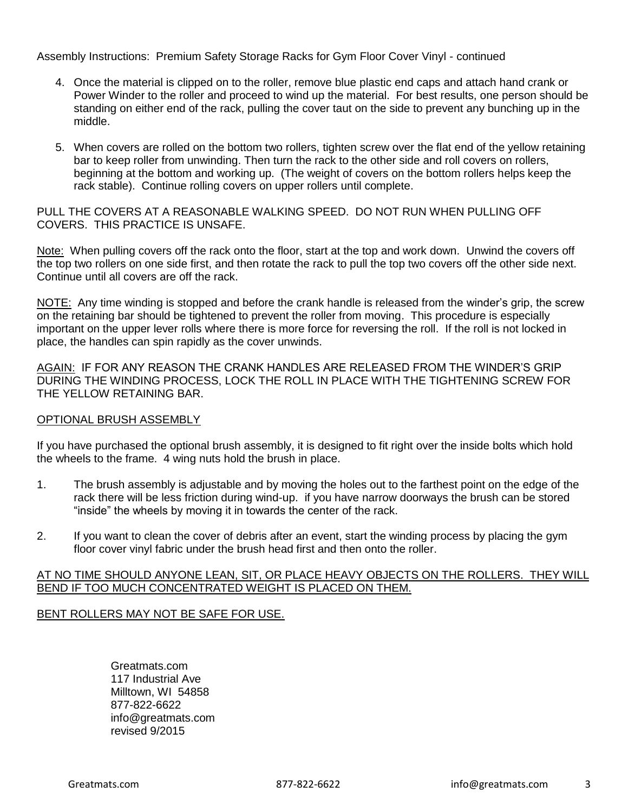Assembly Instructions: Premium Safety Storage Racks for Gym Floor Cover Vinyl - continued

- 4. Once the material is clipped on to the roller, remove blue plastic end caps and attach hand crank or Power Winder to the roller and proceed to wind up the material. For best results, one person should be standing on either end of the rack, pulling the cover taut on the side to prevent any bunching up in the middle.
- 5. When covers are rolled on the bottom two rollers, tighten screw over the flat end of the yellow retaining bar to keep roller from unwinding. Then turn the rack to the other side and roll covers on rollers, beginning at the bottom and working up. (The weight of covers on the bottom rollers helps keep the rack stable). Continue rolling covers on upper rollers until complete.

PULL THE COVERS AT A REASONABLE WALKING SPEED. DO NOT RUN WHEN PULLING OFF COVERS. THIS PRACTICE IS UNSAFE.

Note: When pulling covers off the rack onto the floor, start at the top and work down. Unwind the covers off the top two rollers on one side first, and then rotate the rack to pull the top two covers off the other side next. Continue until all covers are off the rack.

NOTE: Any time winding is stopped and before the crank handle is released from the winder's grip, the screw on the retaining bar should be tightened to prevent the roller from moving. This procedure is especially important on the upper lever rolls where there is more force for reversing the roll. If the roll is not locked in place, the handles can spin rapidly as the cover unwinds.

AGAIN: IF FOR ANY REASON THE CRANK HANDLES ARE RELEASED FROM THE WINDER'S GRIP DURING THE WINDING PROCESS, LOCK THE ROLL IN PLACE WITH THE TIGHTENING SCREW FOR THE YELLOW RETAINING BAR.

#### OPTIONAL BRUSH ASSEMBLY

If you have purchased the optional brush assembly, it is designed to fit right over the inside bolts which hold the wheels to the frame. 4 wing nuts hold the brush in place.

- 1. The brush assembly is adjustable and by moving the holes out to the farthest point on the edge of the rack there will be less friction during wind-up. if you have narrow doorways the brush can be stored "inside" the wheels by moving it in towards the center of the rack.
- 2. If you want to clean the cover of debris after an event, start the winding process by placing the gym floor cover vinyl fabric under the brush head first and then onto the roller.

#### AT NO TIME SHOULD ANYONE LEAN, SIT, OR PLACE HEAVY OBJECTS ON THE ROLLERS. THEY WILL BEND IF TOO MUCH CONCENTRATED WEIGHT IS PLACED ON THEM.

#### BENT ROLLERS MAY NOT BE SAFE FOR USE.

Greatmats.com 117 Industrial Ave Milltown, WI 54858 877-822-6622 info@greatmats.com revised 9/2015